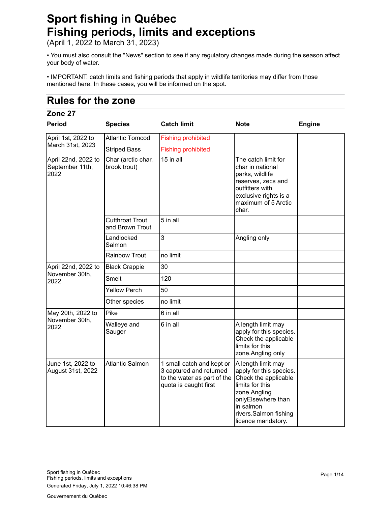# **Sport fishing in Québec Fishing periods, limits and exceptions**

(April 1, 2022 to March 31, 2023)

• You must also consult the "News" section to see if any regulatory changes made during the season affect your body of water.

• IMPORTANT: catch limits and fishing periods that apply in wildlife territories may differ from those mentioned here. In these cases, you will be informed on the spot.

# **Rules for the zone**

## **Zone 27**

| <b>Period</b>                                  | <b>Species</b>                            | <b>Catch limit</b>                                                                                           | <b>Note</b>                                                                                                                                                                                | <b>Engine</b> |
|------------------------------------------------|-------------------------------------------|--------------------------------------------------------------------------------------------------------------|--------------------------------------------------------------------------------------------------------------------------------------------------------------------------------------------|---------------|
| April 1st, 2022 to                             | <b>Atlantic Tomcod</b>                    | <b>Fishing prohibited</b>                                                                                    |                                                                                                                                                                                            |               |
| March 31st, 2023                               | <b>Striped Bass</b>                       | <b>Fishing prohibited</b>                                                                                    |                                                                                                                                                                                            |               |
| April 22nd, 2022 to<br>September 11th,<br>2022 | Char (arctic char,<br>brook trout)        | 15 in all                                                                                                    | The catch limit for<br>char in national<br>parks, wildlife<br>reserves, zecs and<br>outfitters with<br>exclusive rights is a<br>maximum of 5 Arctic<br>char.                               |               |
|                                                | <b>Cutthroat Trout</b><br>and Brown Trout | 5 in all                                                                                                     |                                                                                                                                                                                            |               |
|                                                | Landlocked<br>Salmon                      | 3                                                                                                            | Angling only                                                                                                                                                                               |               |
|                                                | <b>Rainbow Trout</b>                      | no limit                                                                                                     |                                                                                                                                                                                            |               |
| April 22nd, 2022 to                            | <b>Black Crappie</b>                      | 30                                                                                                           |                                                                                                                                                                                            |               |
| November 30th,<br>2022                         | Smelt                                     | 120                                                                                                          |                                                                                                                                                                                            |               |
|                                                | <b>Yellow Perch</b>                       | 50                                                                                                           |                                                                                                                                                                                            |               |
|                                                | Other species                             | no limit                                                                                                     |                                                                                                                                                                                            |               |
| May 20th, 2022 to                              | Pike                                      | 6 in all                                                                                                     |                                                                                                                                                                                            |               |
| November 30th,<br>2022                         | Walleye and<br>Sauger                     | 6 in all                                                                                                     | A length limit may<br>apply for this species.<br>Check the applicable<br>limits for this<br>zone.Angling only                                                                              |               |
| June 1st, 2022 to<br>August 31st, 2022         | <b>Atlantic Salmon</b>                    | 1 small catch and kept or<br>3 captured and returned<br>to the water as part of the<br>quota is caught first | A length limit may<br>apply for this species.<br>Check the applicable<br>limits for this<br>zone.Angling<br>onlyElsewhere than<br>in salmon<br>rivers.Salmon fishing<br>licence mandatory. |               |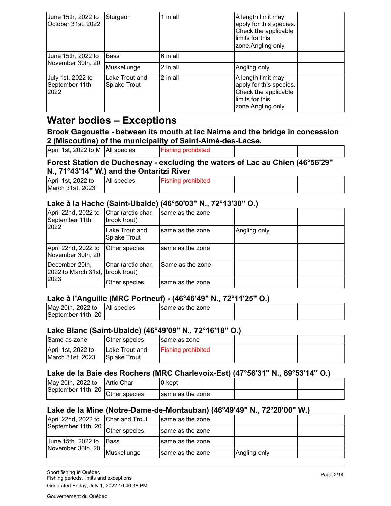| June 15th, 2022 to<br>October 31st, 2022     | Sturgeon                              | 1 in all | A length limit may<br>apply for this species.<br>Check the applicable<br>limits for this<br>zone. Angling only |  |
|----------------------------------------------|---------------------------------------|----------|----------------------------------------------------------------------------------------------------------------|--|
| June 15th, 2022 to                           | <b>Bass</b>                           | 6 in all |                                                                                                                |  |
| November 30th, 20                            | Muskellunge                           | 2 in all | Angling only                                                                                                   |  |
| July 1st, 2022 to<br>September 11th,<br>2022 | Lake Trout and<br><b>Splake Trout</b> | 2 in all | A length limit may<br>apply for this species.<br>Check the applicable<br>limits for this<br>zone.Angling only  |  |

## **Water bodies – Exceptions**

#### **Brook Gagouette - between its mouth at lac Nairne and the bridge in concession 2 (Miscoutine) of the municipality of Saint-Aimé-des-Lacse.**

|                                    | Ferent Clating de Duchenneu, aveluding the waters of Lee au Chien (400E01001) |  |
|------------------------------------|-------------------------------------------------------------------------------|--|
| April 1st, 2022 to M   All species | <b>Fishing prohibited</b>                                                     |  |

## **Forest Station de Duchesnay - excluding the waters of Lac au Chien (46°56'29" N., 71°43'14" W.) and the Ontaritzi River**

| April 1st, 2022 to | All species | <b>Fishing prohibited</b> |  |
|--------------------|-------------|---------------------------|--|
| March 31st, 2023   |             |                           |  |

## **Lake à la Hache (Saint-Ubalde) (46°50'03" N., 72°13'30" O.)**

| April 22nd, 2022 to<br>September 11th,             | Char (arctic char,<br>brook trout)    | same as the zone |              |  |
|----------------------------------------------------|---------------------------------------|------------------|--------------|--|
| 2022                                               | Lake Trout and<br><b>Splake Trout</b> | same as the zone | Angling only |  |
| April 22nd, 2022 to<br>November 30th, 20           | Other species                         | same as the zone |              |  |
| December 20th,<br>2022 to March 31st, brook trout) | Char (arctic char,                    | Same as the zone |              |  |
| 2023                                               | Other species                         | same as the zone |              |  |

## **Lake à l'Anguille (MRC Portneuf) - (46°46'49" N., 72°11'25" O.)**

| May 20th, 2022 to  | <b>All species</b> | Isame as the zone |  |  |
|--------------------|--------------------|-------------------|--|--|
| September 11th, 20 |                    |                   |  |  |

## **Lake Blanc (Saint-Ubalde) (46°49'09" N., 72°16'18" O.)**

| Same as zone                           | Other species                    | Isame as zone             |  |
|----------------------------------------|----------------------------------|---------------------------|--|
| April 1st, 2022 to<br>March 31st, 2023 | ILake Trout and<br>ISplake Trout | <b>Fishing prohibited</b> |  |

## **Lake de la Baie des Rochers (MRC Charlevoix-Est) (47°56'31" N., 69°53'14" O.)**

| May 20th, 2022 to  | <b>Artic Char</b> | ∣0 kept          |  |
|--------------------|-------------------|------------------|--|
| September 11th, 20 | Other species     | same as the zone |  |

## **Lake de la Mine (Notre-Dame-de-Montauban) (46°49'49" N., 72°20'00" W.)**

| April 22nd, 2022 to Char and Trout |               | Isame as the zone |              |  |
|------------------------------------|---------------|-------------------|--------------|--|
| September 11th, 20                 | Other species | Isame as the zone |              |  |
| June 15th, 2022 to                 | <b>Bass</b>   | Isame as the zone |              |  |
| November 30th, 20                  | Muskellunge   | same as the zone  | Angling only |  |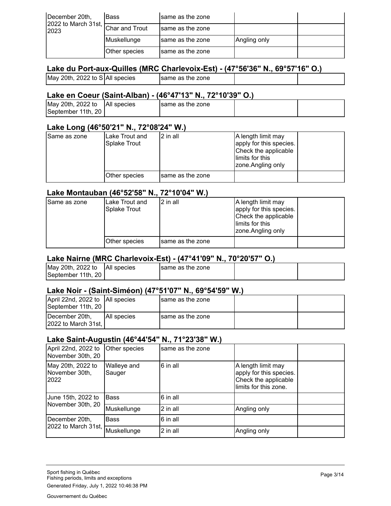| December 20th,                     | <b>Bass</b>    | Isame as the zone |              |  |
|------------------------------------|----------------|-------------------|--------------|--|
| $ 2022$ to March 31st, $ $<br>2023 | Char and Trout | Isame as the zone |              |  |
|                                    | Muskellunge    | same as the zone  | Angling only |  |
|                                    | Other species  | Isame as the zone |              |  |

## **Lake du Port-aux-Quilles (MRC Charlevoix-Est) - (47°56'36" N., 69°57'16" O.)**

## **Lake en Coeur (Saint-Alban) - (46°47'13" N., 72°10'39" O.)**

| May 20th, 2022 to  | <b>All species</b> | same as the zone |  |
|--------------------|--------------------|------------------|--|
| September 11th, 20 |                    |                  |  |

#### **Lake Long (46°50'21" N., 72°08'24" W.)**

| Same as zone | ILake Trout and<br>Splake Trout | l 2 in all        | A length limit may<br>apply for this species.<br>Check the applicable<br>llimits for this<br>zone.Angling only |  |
|--------------|---------------------------------|-------------------|----------------------------------------------------------------------------------------------------------------|--|
|              | Other species                   | Isame as the zone |                                                                                                                |  |

#### **Lake Montauban (46°52'58" N., 72°10'04" W.)**

| Same as zone | Lake Trout and<br><b>Splake Trout</b> | l 2 in all        | A length limit may<br>apply for this species.<br>Check the applicable<br>llimits for this<br>zone.Angling only |  |
|--------------|---------------------------------------|-------------------|----------------------------------------------------------------------------------------------------------------|--|
|              | Other species                         | Isame as the zone |                                                                                                                |  |

#### **Lake Nairne (MRC Charlevoix-Est) - (47°41'09" N., 70°20'57" O.)**

| May 20th, 2022 to  | All species | Isame as the zone |  |  |
|--------------------|-------------|-------------------|--|--|
| September 11th, 20 |             |                   |  |  |

#### **Lake Noir - (Saint-Siméon) (47°51'07" N., 69°54'59" W.)**

| April 22nd, 2022 to   All species<br>September 11th, 20 |              | same as the zone  |  |
|---------------------------------------------------------|--------------|-------------------|--|
| December 20th.<br>2022 to March 31st.                   | IAII species | Isame as the zone |  |

#### **Lake Saint-Augustin (46°44'54" N., 71°23'38" W.)**

| April 22nd, 2022 to<br>November 30th, 20    | Other species         | same as the zone |                                                                                                |  |
|---------------------------------------------|-----------------------|------------------|------------------------------------------------------------------------------------------------|--|
| May 20th, 2022 to<br>November 30th,<br>2022 | Walleye and<br>Sauger | 6 in all         | A length limit may<br>apply for this species.<br>Check the applicable<br>limits for this zone. |  |
| June 15th, 2022 to                          | <b>Bass</b>           | 6 in all         |                                                                                                |  |
| November 30th, 20                           | Muskellunge           | 2 in all         | Angling only                                                                                   |  |
| December 20th,                              | <b>Bass</b>           | 6 in all         |                                                                                                |  |
| 2022 to March 31st,                         | Muskellunge           | 2 in all         | Angling only                                                                                   |  |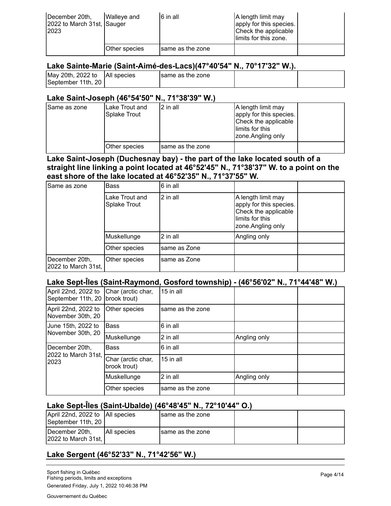| December 20th,<br>2022 to March 31st, Sauger<br>2023 | Walleve and   | 6 in all          | A length limit may<br>apply for this species.<br>Check the applicable<br>limits for this zone. |  |
|------------------------------------------------------|---------------|-------------------|------------------------------------------------------------------------------------------------|--|
|                                                      | Other species | Isame as the zone |                                                                                                |  |

#### **Lake Sainte-Marie (Saint-Aimé-des-Lacs)(47°40'54" N., 70°17'32" W.).**

| May 20th, 2022 to  | <b>All species</b> | Isame as the zone |  |
|--------------------|--------------------|-------------------|--|
| September 11th, 20 |                    |                   |  |

#### **Lake Saint-Joseph (46°54'50" N., 71°38'39" W.)**

| Same as zone | ILake Trout and<br>Splake Trout | 12 in all        | A length limit may<br>apply for this species.<br>Check the applicable<br>llimits for this<br>zone.Angling only |  |
|--------------|---------------------------------|------------------|----------------------------------------------------------------------------------------------------------------|--|
|              | Other species                   | same as the zone |                                                                                                                |  |

#### **Lake Saint-Joseph (Duchesnay bay) - the part of the lake located south of a straight line linking a point located at 46°52'45" N., 71°38'37" W. to a point on the east shore of the lake located at 46°52'35" N., 71°37'55" W.**

| Same as zone                          | <b>Bass</b>                    | 6 in all     |                                                                                                               |  |
|---------------------------------------|--------------------------------|--------------|---------------------------------------------------------------------------------------------------------------|--|
|                                       | Lake Trout and<br>Splake Trout | 2 in all     | A length limit may<br>apply for this species.<br>Check the applicable<br>limits for this<br>zone.Angling only |  |
|                                       | Muskellunge                    | 2 in all     | Angling only                                                                                                  |  |
|                                       | Other species                  | same as Zone |                                                                                                               |  |
| December 20th,<br>2022 to March 31st, | Other species                  | same as Zone |                                                                                                               |  |

## **Lake Sept-Îles (Saint-Raymond, Gosford township) - (46°56'02" N., 71°44'48" W.)**

| April 22nd, 2022 to<br>September 11th, 20   brook trout) | Char (arctic char,                 | 15 in all        |              |  |
|----------------------------------------------------------|------------------------------------|------------------|--------------|--|
| April 22nd, 2022 to<br>November 30th, 20                 | Other species                      | same as the zone |              |  |
| June 15th, 2022 to                                       | <b>Bass</b>                        | 6 in all         |              |  |
| November 30th, 20                                        | Muskellunge                        | 2 in all         | Angling only |  |
| December 20th,                                           | <b>Bass</b>                        | 6 in all         |              |  |
| 2022 to March 31st,<br>2023                              | Char (arctic char,<br>brook trout) | 15 in all        |              |  |
|                                                          | Muskellunge                        | 2 in all         | Angling only |  |
|                                                          | Other species                      | same as the zone |              |  |
|                                                          |                                    |                  |              |  |

## **Lake Sept-Îles (Saint-Ubalde) (46°48'45" N., 72°10'44" O.)**

| April 22nd, 2022 to   All species<br>September 11th, 20 |              | Isame as the zone |  |
|---------------------------------------------------------|--------------|-------------------|--|
| December 20th,<br>12022 to March 31st.                  | IAII species | same as the zone  |  |

## **Lake Sergent (46°52'33" N., 71°42'56" W.)**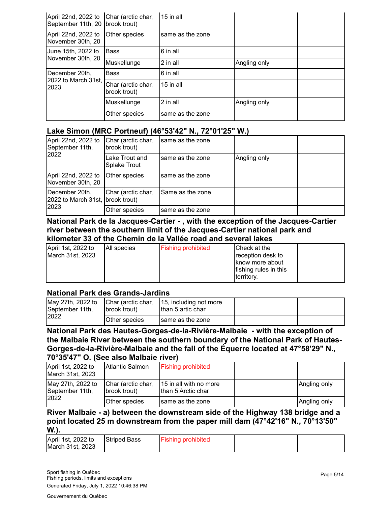| April 22nd, 2022 to<br>September 11th, 20 brook trout) | Char (arctic char,                 | $15$ in all      |              |  |
|--------------------------------------------------------|------------------------------------|------------------|--------------|--|
| April 22nd, 2022 to<br>November 30th, 20               | Other species                      | same as the zone |              |  |
| Uune 15th, 2022 to                                     | <b>Bass</b>                        | 6 in all         |              |  |
| November 30th, 20                                      | Muskellunge                        | 2 in all         | Angling only |  |
| December 20th,                                         | <b>Bass</b>                        | 6 in all         |              |  |
| 2022 to March 31st,<br>2023                            | Char (arctic char,<br>brook trout) | 15 in all        |              |  |
|                                                        | Muskellunge                        | 2 in all         | Angling only |  |
|                                                        | Other species                      | same as the zone |              |  |

#### **Lake Simon (MRC Portneuf) (46°53'42" N., 72°01'25" W.)**

| April 22nd, 2022 to<br>September 11th,             | Char (arctic char,<br>brook trout)    | same as the zone |              |  |
|----------------------------------------------------|---------------------------------------|------------------|--------------|--|
| 2022                                               | Lake Trout and<br><b>Splake Trout</b> | same as the zone | Angling only |  |
| April 22nd, 2022 to<br>November 30th, 20           | Other species                         | same as the zone |              |  |
| December 20th,<br>2022 to March 31st, brook trout) | Char (arctic char,                    | Same as the zone |              |  |
| 2023                                               | Other species                         | same as the zone |              |  |

**National Park de la Jacques-Cartier - , with the exception of the Jacques-Cartier river between the southern limit of the Jacques-Cartier national park and kilometer 33 of the Chemin de la Vallée road and several lakes**

| April 1st, 2022 to<br>March 31st, 2023 | All species | <b>Fishing prohibited</b> | Check at the<br>reception desk to<br>know more about<br>fishing rules in this<br>territory. |  |
|----------------------------------------|-------------|---------------------------|---------------------------------------------------------------------------------------------|--|
|----------------------------------------|-------------|---------------------------|---------------------------------------------------------------------------------------------|--|

## **National Park des Grands-Jardins**

| May 27th, 2022 to<br>September 11th, | Char (arctic char,<br>(Ibrook trout) | 15, including not more<br>Ithan 5 artic char |  |
|--------------------------------------|--------------------------------------|----------------------------------------------|--|
| 2022                                 | Other species                        | same as the zone                             |  |

**National Park des Hautes-Gorges-de-la-Rivière-Malbaie - with the exception of the Malbaie River between the southern boundary of the National Park of Hautes-Gorges-de-la-Rivière-Malbaie and the fall of the Équerre located at 47°58'29" N., 70°35'47" O. (See also Malbaie river)**

| April 1st, 2022 to<br>March 31st, 2023 | IAtlantic Salmon                   | <b>Fishing prohibited</b>                    |              |
|----------------------------------------|------------------------------------|----------------------------------------------|--------------|
| May 27th, 2022 to<br>September 11th,   | Char (arctic char,<br>brook trout) | 15 in all with no more<br>than 5 Arctic char | Angling only |
| 2022                                   | Other species                      | same as the zone                             | Angling only |

#### **River Malbaie - a) between the downstream side of the Highway 138 bridge and a point located 25 m downstream from the paper mill dam (47°42'16" N., 70°13'50" W.).**

| April 1st, 2022 to<br>March 31st, 2023 | <b>Striped Bass</b> | <b>Fishing prohibited</b> |  |
|----------------------------------------|---------------------|---------------------------|--|
|                                        |                     |                           |  |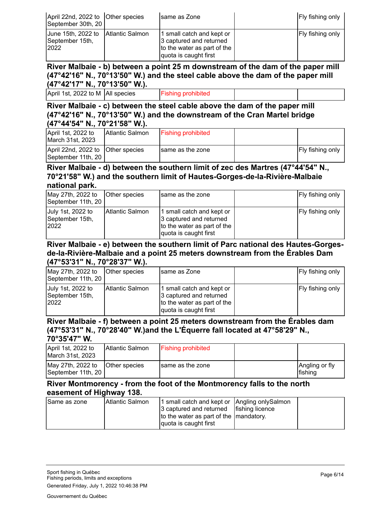| April 22nd, 2022 to Other species<br>September 30th, 20       | Isame as Zone                                                                                                | Fly fishing only        |
|---------------------------------------------------------------|--------------------------------------------------------------------------------------------------------------|-------------------------|
| June 15th, 2022 to Atlantic Salmon<br>September 15th,<br>2022 | 1 small catch and kept or<br>3 captured and returned<br>to the water as part of the<br>quota is caught first | <b>Fly fishing only</b> |

**River Malbaie - b) between a point 25 m downstream of the dam of the paper mill (47°42'16" N., 70°13'50" W.) and the steel cable above the dam of the paper mill (47°42'17" N., 70°13'50" W.).**

| April 1st, 2022 to M   All species |  | prohibited<br>∙ıshınq |  |  |
|------------------------------------|--|-----------------------|--|--|
|------------------------------------|--|-----------------------|--|--|

**River Malbaie - c) between the steel cable above the dam of the paper mill (47°42'16" N., 70°13'50" W.) and the downstream of the Cran Martel bridge (47°44'54" N., 70°21'58" W.).**

| April 1st, 2022 to<br>March 31st, 2023                  | <b>Atlantic Salmon</b> | <b>Fishing prohibited</b> |                         |
|---------------------------------------------------------|------------------------|---------------------------|-------------------------|
| April 22nd, 2022 to Other species<br>September 11th, 20 |                        | same as the zone          | <b>Fly fishing only</b> |

#### **River Malbaie - d) between the southern limit of zec des Martres (47°44'54" N., 70°21'58" W.) and the southern limit of Hautes-Gorges-de-la-Rivière-Malbaie national park.**

| May 27th, 2022 to<br>September 11th, 20      | Other species    | Isame as the zone                                                                                            | Fly fishing only |
|----------------------------------------------|------------------|--------------------------------------------------------------------------------------------------------------|------------------|
| July 1st, 2022 to<br>September 15th,<br>2022 | IAtlantic Salmon | 1 small catch and kept or<br>3 captured and returned<br>to the water as part of the<br>quota is caught first | Fly fishing only |

#### **River Malbaie - e) between the southern limit of Parc national des Hautes-Gorgesde-la-Rivière-Malbaie and a point 25 meters downstream from the Érables Dam (47°53'31" N., 70°28'37" W.).**

| May 27th, 2022 to<br>September 11th, 20      | Other species    | same as Zone                                                                                                 |  | Fly fishing only        |  |
|----------------------------------------------|------------------|--------------------------------------------------------------------------------------------------------------|--|-------------------------|--|
| July 1st, 2022 to<br>September 15th,<br>2022 | IAtlantic Salmon | 1 small catch and kept or<br>3 captured and returned<br>to the water as part of the<br>quota is caught first |  | <b>Fly fishing only</b> |  |

#### **River Malbaie - f) between a point 25 meters downstream from the Érables dam (47°53'31" N., 70°28'40" W.)and the L'Équerre fall located at 47°58'29" N., 70°35'47" W.**

| April 1st, 2022 to<br>March 31st, 2023  | IAtlantic Salmon     | <b>Fishing prohibited</b> |                           |
|-----------------------------------------|----------------------|---------------------------|---------------------------|
| May 27th, 2022 to<br>September 11th, 20 | <b>Other species</b> | same as the zone          | Angling or fly<br>fishing |

## **River Montmorency - from the foot of the Montmorency falls to the north easement of Highway 138.**

| Same as zone | IAtlantic Salmon | 1 small catch and kept or   Angling only Salmon |  |
|--------------|------------------|-------------------------------------------------|--|
|              |                  | 3 captured and returned   fishing licence       |  |
|              |                  | to the water as part of the   mandatory.        |  |
|              |                  | Jquota is caught first                          |  |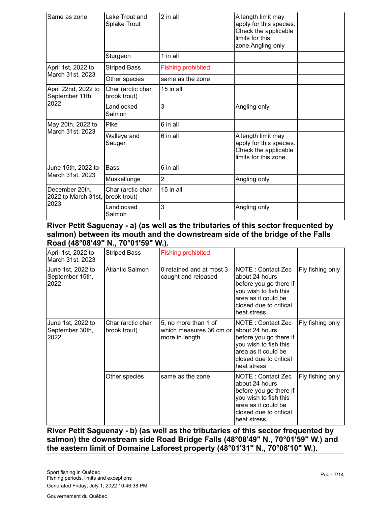| Same as zone                                   | Lake Trout and<br><b>Splake Trout</b> | 2 in all                  | A length limit may<br>apply for this species.<br>Check the applicable<br>limits for this<br>zone.Angling only |  |
|------------------------------------------------|---------------------------------------|---------------------------|---------------------------------------------------------------------------------------------------------------|--|
|                                                | Sturgeon                              | 1 in all                  |                                                                                                               |  |
| April 1st, 2022 to                             | <b>Striped Bass</b>                   | <b>Fishing prohibited</b> |                                                                                                               |  |
| March 31st, 2023                               | Other species                         | same as the zone          |                                                                                                               |  |
| April 22nd, 2022 to<br>September 11th,<br>2022 | Char (arctic char,<br>brook trout)    | 15 in all                 |                                                                                                               |  |
|                                                | Landlocked<br>Salmon                  | 3                         | Angling only                                                                                                  |  |
| May 20th, 2022 to                              | Pike                                  | 6 in all                  |                                                                                                               |  |
| March 31st, 2023                               | Walleye and<br>Sauger                 | 6 in all                  | A length limit may<br>apply for this species.<br>Check the applicable<br>limits for this zone.                |  |
| June 15th, 2022 to                             | Bass                                  | 6 in all                  |                                                                                                               |  |
| March 31st, 2023                               | Muskellunge                           | 2                         | Angling only                                                                                                  |  |
| December 20th,<br>2022 to March 31st,          | Char (arctic char,<br>brook trout)    | 15 in all                 |                                                                                                               |  |
| 2023                                           | Landlocked<br>Salmon                  | 3                         | Angling only                                                                                                  |  |

#### **River Petit Saguenay - a) (as well as the tributaries of this sector frequented by salmon) between its mouth and the downstream side of the bridge of the Falls Road (48°08'49" N., 70°01'59" W.).**

| April 1st, 2022 to<br>March 31st, 2023       | <b>Striped Bass</b>                | <b>Fishing prohibited</b>                                         |                                                                                                                                                         |                  |
|----------------------------------------------|------------------------------------|-------------------------------------------------------------------|---------------------------------------------------------------------------------------------------------------------------------------------------------|------------------|
| June 1st, 2022 to<br>September 15th,<br>2022 | <b>Atlantic Salmon</b>             | 0 retained and at most 3<br>caught and released                   | NOTE: Contact Zec<br>about 24 hours<br>before you go there if<br>you wish to fish this<br>area as it could be<br>closed due to critical<br>heat stress  | Fly fishing only |
| June 1st, 2022 to<br>September 30th,<br>2022 | Char (arctic char,<br>brook trout) | 5, no more than 1 of<br>which measures 36 cm or<br>more in length | NOTE : Contact Zec<br>about 24 hours<br>before you go there if<br>you wish to fish this<br>area as it could be<br>closed due to critical<br>heat stress | Fly fishing only |
|                                              | Other species                      | same as the zone                                                  | NOTE: Contact Zec<br>about 24 hours<br>before you go there if<br>you wish to fish this<br>area as it could be<br>closed due to critical<br>heat stress  | Fly fishing only |

**River Petit Saguenay - b) (as well as the tributaries of this sector frequented by salmon) the downstream side Road Bridge Falls (48°08'49" N., 70°01'59" W.) and the eastern limit of Domaine Laforest property (48°01'31" N., 70°08'10" W.).**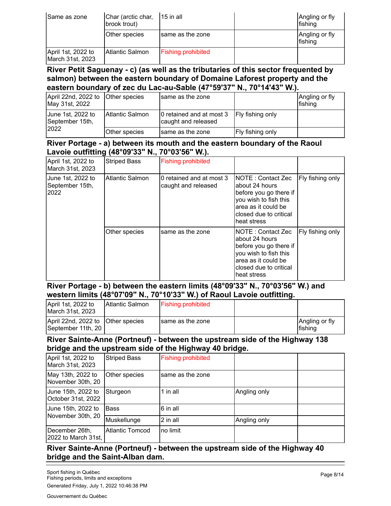| Same as zone                           | Char (arctic char,<br>brook trout) | 115 in all                | Angling or fly<br><b>I</b> fishing |
|----------------------------------------|------------------------------------|---------------------------|------------------------------------|
|                                        | Other species                      | Isame as the zone         | Angling or fly<br>fishing          |
| April 1st, 2022 to<br>March 31st, 2023 | IAtlantic Salmon                   | <b>Fishing prohibited</b> |                                    |

#### **River Petit Saguenay - c) (as well as the tributaries of this sector frequented by salmon) between the eastern boundary of Domaine Laforest property and the eastern boundary of zec du Lac-au-Sable (47°59'37" N., 70°14'43" W.).**

| April 22nd, 2022 to Other species<br>May 31st, 2022 |                  | Isame as the zone                               |                         | Angling or fly<br>fishing |
|-----------------------------------------------------|------------------|-------------------------------------------------|-------------------------|---------------------------|
| June 1st, 2022 to<br>September 15th,<br>2022        | IAtlantic Salmon | 0 retained and at most 3<br>caught and released | <b>Fly fishing only</b> |                           |
|                                                     | Other species    | same as the zone                                | Fly fishing only        |                           |

#### **River Portage - a) between its mouth and the eastern boundary of the Raoul Lavoie outfitting (48°09'33" N., 70°03'56" W.).**

| April 1st, 2022 to<br>March 31st, 2023       | <b>Striped Bass</b> | <b>Fishing prohibited</b>                       |                                                                                                                                                          |                  |
|----------------------------------------------|---------------------|-------------------------------------------------|----------------------------------------------------------------------------------------------------------------------------------------------------------|------------------|
| June 1st, 2022 to<br>September 15th,<br>2022 | Atlantic Salmon     | 0 retained and at most 3<br>caught and released | INOTE : Contact Zec<br>about 24 hours<br>before you go there if<br>you wish to fish this<br>area as it could be<br>closed due to critical<br>heat stress | Fly fishing only |
|                                              | Other species       | same as the zone                                | NOTE: Contact Zec<br>about 24 hours<br>before you go there if<br>you wish to fish this<br>area as it could be<br>closed due to critical<br>heat stress   | Fly fishing only |

**River Portage - b) between the eastern limits (48°09'33" N., 70°03'56" W.) and western limits (48°07'09" N., 70°10'33" W.) of Raoul Lavoie outfitting.**

| April 1st, 2022 to<br>March 31st, 2023                  | IAtlantic Salmon | <b>Fishing prohibited</b> |                           |
|---------------------------------------------------------|------------------|---------------------------|---------------------------|
| April 22nd, 2022 to Other species<br>September 11th, 20 |                  | same as the zone          | Angling or fly<br>fishing |

#### **River Sainte-Anne (Portneuf) - between the upstream side of the Highway 138 bridge and the upstream side of the Highway 40 bridge.**

|                                          |                        |                           | -            |  |
|------------------------------------------|------------------------|---------------------------|--------------|--|
| April 1st, 2022 to<br>March 31st, 2023   | <b>Striped Bass</b>    | <b>Fishing prohibited</b> |              |  |
| May 13th, 2022 to<br>November 30th, 20   | Other species          | same as the zone          |              |  |
| June 15th, 2022 to<br>October 31st, 2022 | Sturgeon               | 1 in all                  | Angling only |  |
| June 15th, 2022 to                       | <b>Bass</b>            | 6 in all                  |              |  |
| November 30th, 20                        | Muskellunge            | 2 in all                  | Angling only |  |
| December 26th,<br>2022 to March 31st,    | <b>Atlantic Tomcod</b> | no limit                  |              |  |

## **River Sainte-Anne (Portneuf) - between the upstream side of the Highway 40 bridge and the Saint-Alban dam.**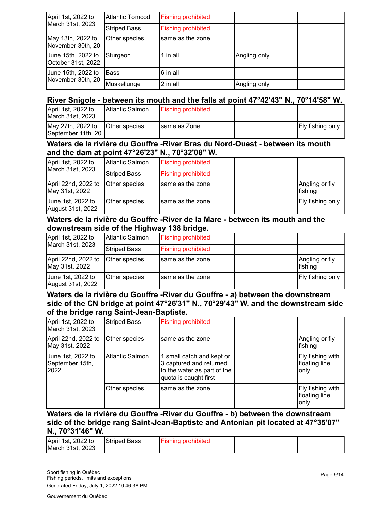| April 1st, 2022 to                       | <b>Atlantic Tomcod</b> | <b>Fishing prohibited</b> |              |  |
|------------------------------------------|------------------------|---------------------------|--------------|--|
| March 31st, 2023                         | <b>Striped Bass</b>    | <b>Fishing prohibited</b> |              |  |
| May 13th, 2022 to<br>November 30th, 20   | Other species          | same as the zone          |              |  |
| Uune 15th, 2022 to<br>October 31st, 2022 | Sturgeon               | 1 in all                  | Angling only |  |
| June 15th, 2022 to<br>November 30th, 20  | <b>Bass</b>            | 6 in all                  |              |  |
|                                          | Muskellunge            | 2 in all                  | Angling only |  |

#### **River Snigole - between its mouth and the falls at point 47°42'43" N., 70°14'58" W.**

| April 1st, 2022 to<br>March 31st, 2023  | IAtlantic Salmon     | <b>Fishing prohibited</b> |                         |
|-----------------------------------------|----------------------|---------------------------|-------------------------|
| May 27th, 2022 to<br>September 11th, 20 | <b>Other species</b> | Isame as Zone             | <b>Fly fishing only</b> |

#### **Waters de la rivière du Gouffre -River Bras du Nord-Ouest - between its mouth and the dam at point 47°26'23" N., 70°32'08" W.**

| April 1st, 2022 to<br>March 31st, 2023 | Atlantic Salmon      | <b>Fishing prohibited</b> |                           |
|----------------------------------------|----------------------|---------------------------|---------------------------|
|                                        | <b>Striped Bass</b>  | <b>Fishing prohibited</b> |                           |
| April 22nd, 2022 to<br>May 31st, 2022  | Other species        | Isame as the zone         | Angling or fly<br>fishing |
| June 1st, 2022 to<br>August 31st, 2022 | <b>Other species</b> | Isame as the zone         | Fly fishing only          |

#### **Waters de la rivière du Gouffre -River de la Mare - between its mouth and the downstream side of the Highway 138 bridge.**

| April 1st, 2022 to                     | Atlantic Salmon     | <b>Fishing prohibited</b> |                           |
|----------------------------------------|---------------------|---------------------------|---------------------------|
| March 31st, 2023                       | <b>Striped Bass</b> | <b>Fishing prohibited</b> |                           |
| April 22nd, 2022 to<br>May 31st, 2022  | Other species       | Isame as the zone         | Angling or fly<br>fishing |
| June 1st, 2022 to<br>August 31st, 2022 | Other species       | Isame as the zone         | Fly fishing only          |

#### **Waters de la rivière du Gouffre -River du Gouffre - a) between the downstream side of the CN bridge at point 47°26'31'' N., 70°29'43'' W. and the downstream side of the bridge rang Saint-Jean-Baptiste.**

| April 1st, 2022 to<br>March 31st, 2023       | <b>Striped Bass</b>    | <b>Fishing prohibited</b>                                                                                    |                                           |
|----------------------------------------------|------------------------|--------------------------------------------------------------------------------------------------------------|-------------------------------------------|
| April 22nd, 2022 to<br>May 31st, 2022        | Other species          | same as the zone                                                                                             | Angling or fly<br> fishing                |
| June 1st, 2022 to<br>September 15th,<br>2022 | <b>Atlantic Salmon</b> | 1 small catch and kept or<br>3 captured and returned<br>to the water as part of the<br>quota is caught first | Fly fishing with<br>floating line<br>only |
|                                              | Other species          | same as the zone                                                                                             | Fly fishing with<br>floating line<br>only |

#### **Waters de la rivière du Gouffre -River du Gouffre - b) between the downstream side of the bridge rang Saint-Jean-Baptiste and Antonian pit located at 47°35'07" N., 70°31'46" W.**

| April 1st, 2022 to | <b>Striped Bass</b> | <b>Fishing prohibited</b> |  |
|--------------------|---------------------|---------------------------|--|
| March 31st, 2023   |                     |                           |  |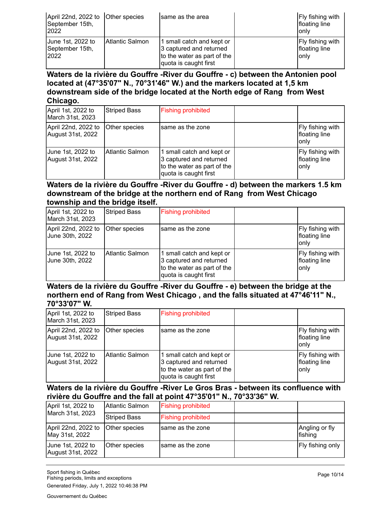| April 22nd, 2022 to Other species<br>September 15th,<br>2022 |                  | Isame as the area                                                                                            | <b>Fly fishing with</b><br>floating line<br>only |
|--------------------------------------------------------------|------------------|--------------------------------------------------------------------------------------------------------------|--------------------------------------------------|
| June 1st, 2022 to<br>September 15th,<br>2022                 | IAtlantic Salmon | 1 small catch and kept or<br>3 captured and returned<br>to the water as part of the<br>quota is caught first | <b>Fly fishing with</b><br>floating line<br>only |

**Waters de la rivière du Gouffre -River du Gouffre - c) between the Antonien pool located at (47°35'07" N., 70°31'46" W.) and the markers located at 1,5 km downstream side of the bridge located at the North edge of Rang from West Chicago.**

| April 1st, 2022 to<br>March 31st, 2023   | <b>Striped Bass</b> | <b>Fishing prohibited</b>                                                                                    |                                            |
|------------------------------------------|---------------------|--------------------------------------------------------------------------------------------------------------|--------------------------------------------|
| April 22nd, 2022 to<br>August 31st, 2022 | Other species       | same as the zone                                                                                             | Fly fishing with<br>floating line<br>lonlv |
| June 1st, 2022 to<br>August 31st, 2022   | Atlantic Salmon     | 1 small catch and kept or<br>3 captured and returned<br>to the water as part of the<br>quota is caught first | Fly fishing with<br>floating line<br>only  |

#### **Waters de la rivière du Gouffre -River du Gouffre - d) between the markers 1.5 km downstream of the bridge at the northern end of Rang from West Chicago township and the bridge itself.**

| April 1st, 2022 to<br>March 31st, 2023 | <b>Striped Bass</b>    | <b>Fishing prohibited</b>                                                                                    |                                                  |
|----------------------------------------|------------------------|--------------------------------------------------------------------------------------------------------------|--------------------------------------------------|
| April 22nd, 2022 to<br>June 30th, 2022 | Other species          | same as the zone                                                                                             | Fly fishing with<br>floating line<br>only        |
| June 1st, 2022 to<br>June 30th, 2022   | <b>Atlantic Salmon</b> | 1 small catch and kept or<br>3 captured and returned<br>to the water as part of the<br>quota is caught first | <b>Fly fishing with</b><br>floating line<br>only |

#### **Waters de la rivière du Gouffre -River du Gouffre - e) between the bridge at the northern end of Rang from West Chicago , and the falls situated at 47°46'11" N., 70°33'07" W.**

| April 1st, 2022 to<br>March 31st, 2023   | <b>Striped Bass</b> | <b>Fishing prohibited</b>                                                                                    |                                            |
|------------------------------------------|---------------------|--------------------------------------------------------------------------------------------------------------|--------------------------------------------|
| April 22nd, 2022 to<br>August 31st, 2022 | Other species       | same as the zone                                                                                             | Fly fishing with<br>floating line<br>lonlv |
| June 1st, 2022 to<br>August 31st, 2022   | IAtlantic Salmon    | 1 small catch and kept or<br>3 captured and returned<br>to the water as part of the<br>quota is caught first | Fly fishing with<br>floating line<br>only  |

#### **Waters de la rivière du Gouffre -River Le Gros Bras - between its confluence with rivière du Gouffre and the fall at point 47°35'01" N., 70°33'36" W.**

| April 1st, 2022 to<br>March 31st, 2023 | Atlantic Salmon     | <b>Fishing prohibited</b> |                            |
|----------------------------------------|---------------------|---------------------------|----------------------------|
|                                        | <b>Striped Bass</b> | <b>Fishing prohibited</b> |                            |
| April 22nd, 2022 to<br>May 31st, 2022  | Other species       | Isame as the zone         | Angling or fly<br>lfishina |
| June 1st, 2022 to<br>August 31st, 2022 | Other species       | Isame as the zone         | Fly fishing only           |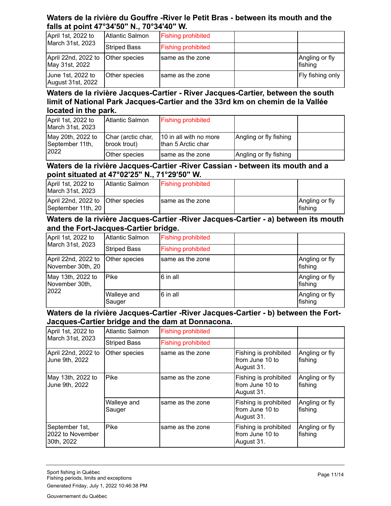## **Waters de la rivière du Gouffre -River le Petit Bras - between its mouth and the falls at point 47°34'50" N., 70°34'40" W.**

| April 1st, 2022 to<br>March 31st, 2023 | Atlantic Salmon     | <b>Fishing prohibited</b> |                            |
|----------------------------------------|---------------------|---------------------------|----------------------------|
|                                        | <b>Striped Bass</b> | <b>Fishing prohibited</b> |                            |
| April 22nd, 2022 to<br>May 31st, 2022  | Other species       | Isame as the zone         | Angling or fly<br>lfishina |
| June 1st, 2022 to<br>August 31st, 2022 | Other species       | Isame as the zone         | Fly fishing only           |

## **Waters de la rivière Jacques-Cartier - River Jacques-Cartier, between the south limit of National Park Jacques-Cartier and the 33rd km on chemin de la Vallée located in the park.**

| April 1st, 2022 to<br>March 31st, 2023       | IAtlantic Salmon                   | <b>Fishing prohibited</b>                     |                        |  |
|----------------------------------------------|------------------------------------|-----------------------------------------------|------------------------|--|
| May 20th, 2022 to<br>September 11th,<br>2022 | Char (arctic char,<br>brook trout) | 10 in all with no more<br>Ithan 5 Arctic char | Angling or fly fishing |  |
|                                              | Other species                      | same as the zone                              | Angling or fly fishing |  |

#### **Waters de la rivière Jacques-Cartier -River Cassian - between its mouth and a point situated at 47°02'25" N., 71°29'50" W.**

| April 1st, 2022 to<br>March 31st. 2023                  | IAtlantic Salmon | <b>Fishing prohibited</b> |                                   |
|---------------------------------------------------------|------------------|---------------------------|-----------------------------------|
| April 22nd, 2022 to Other species<br>September 11th, 20 |                  | same as the zone          | Angling or fly<br><b>Ifishing</b> |

## **Waters de la rivière Jacques-Cartier -River Jacques-Cartier - a) between its mouth and the Fort-Jacques-Cartier bridge.**

| April 1st, 2022 to<br>March 31st, 2023      | <b>Atlantic Salmon</b> | <b>Fishing prohibited</b> |  |                           |
|---------------------------------------------|------------------------|---------------------------|--|---------------------------|
|                                             | <b>Striped Bass</b>    | <b>Fishing prohibited</b> |  |                           |
| April 22nd, 2022 to<br>November 30th, 20    | Other species          | Isame as the zone         |  | Angling or fly<br>fishing |
| May 13th, 2022 to<br>November 30th,<br>2022 | <b>Pike</b>            | 6 in all                  |  | Angling or fly<br>fishing |
|                                             | Walleye and<br>Sauger  | 6 in all                  |  | Angling or fly<br>fishing |

#### **Waters de la rivière Jacques-Cartier -River Jacques-Cartier - b) between the Fort-Jacques-Cartier bridge and the dam at Donnacona.**

| April 1st, 2022 to                               | <b>Atlantic Salmon</b> | <b>Fishing prohibited</b> |                                                        |                           |
|--------------------------------------------------|------------------------|---------------------------|--------------------------------------------------------|---------------------------|
| March 31st, 2023                                 | <b>Striped Bass</b>    | <b>Fishing prohibited</b> |                                                        |                           |
| April 22nd, 2022 to<br>June 9th, 2022            | Other species          | same as the zone          | Fishing is prohibited<br>from June 10 to<br>August 31. | Angling or fly<br>fishing |
| May 13th, 2022 to<br>June 9th, 2022              | Pike                   | same as the zone          | Fishing is prohibited<br>from June 10 to<br>August 31. | Angling or fly<br>fishing |
|                                                  | Walleye and<br>Sauger  | same as the zone          | Fishing is prohibited<br>from June 10 to<br>August 31. | Angling or fly<br>fishing |
| September 1st,<br>2022 to November<br>30th, 2022 | Pike                   | same as the zone          | Fishing is prohibited<br>from June 10 to<br>August 31. | Angling or fly<br>fishing |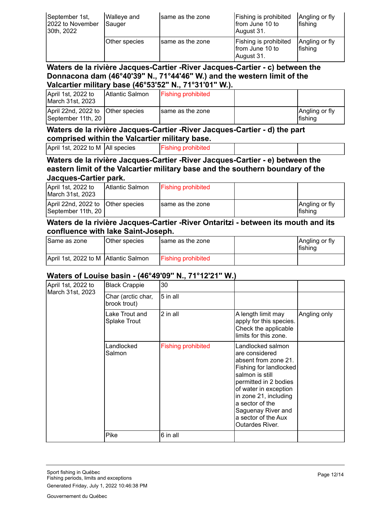| September 1st,<br>2022 to November<br>30th, 2022 | <b>Walleye and</b><br>Sauger | Isame as the zone | Fishing is prohibited<br>from June 10 to<br>August 31. | Angling or fly<br><b>fishing</b> |
|--------------------------------------------------|------------------------------|-------------------|--------------------------------------------------------|----------------------------------|
|                                                  | Other species                | same as the zone  | Fishing is prohibited<br>from June 10 to<br>August 31. | Angling or fly<br><b>fishing</b> |

#### **Waters de la rivière Jacques-Cartier -River Jacques-Cartier - c) between the Donnacona dam (46°40'39" N., 71°44'46" W.) and the western limit of the Valcartier military base (46°53'52" N., 71°31'01" W.).**

| April 1st, 2022 to<br>IMarch 31st. 2023                   | IAtlantic Salmon | <b>Fishing prohibited</b> |  |                            |
|-----------------------------------------------------------|------------------|---------------------------|--|----------------------------|
| April 22nd, 2022 to   Other species<br>September 11th, 20 |                  | Isame as the zone         |  | Angling or fly<br>lfishina |

#### **Waters de la rivière Jacques-Cartier -River Jacques-Cartier - d) the part comprised within the Valcartier military base.**

| April 1st, 2022 to M   All species |  | <b>Fishing prohibited</b> |
|------------------------------------|--|---------------------------|
|------------------------------------|--|---------------------------|

#### **Waters de la rivière Jacques-Cartier -River Jacques-Cartier - e) between the eastern limit of the Valcartier military base and the southern boundary of the Jacques-Cartier park.**

| April 1st, 2022 to<br>March 31st, 2023                  | Atlantic Salmon | <b>Fishing prohibited</b> |                                    |
|---------------------------------------------------------|-----------------|---------------------------|------------------------------------|
| April 22nd, 2022 to Other species<br>September 11th, 20 |                 | same as the zone          | Angling or fly<br><b>I</b> fishing |

#### **Waters de la rivière Jacques-Cartier -River Ontaritzi - between its mouth and its confluence with lake Saint-Joseph.**

| Same as zone                           | Other species | same as the zone          | Angling or fly<br><b>I</b> fishing |
|----------------------------------------|---------------|---------------------------|------------------------------------|
| April 1st, 2022 to M   Atlantic Salmon |               | <b>Fishing prohibited</b> |                                    |

#### **Waters of Louise basin - (46°49'09'' N., 71°12'21'' W.)**

| April 1st, 2022 to<br>March 31st, 2023 | <b>Black Crappie</b>               | 30                        |                                                                                                                                                                                                                                                                               |              |
|----------------------------------------|------------------------------------|---------------------------|-------------------------------------------------------------------------------------------------------------------------------------------------------------------------------------------------------------------------------------------------------------------------------|--------------|
|                                        | Char (arctic char,<br>brook trout) | 5 in all                  |                                                                                                                                                                                                                                                                               |              |
|                                        | Lake Trout and<br>Splake Trout     | 2 in all                  | A length limit may<br>apply for this species.<br>Check the applicable<br>limits for this zone.                                                                                                                                                                                | Angling only |
|                                        | Landlocked<br>Salmon               | <b>Fishing prohibited</b> | Landlocked salmon<br>are considered<br>absent from zone 21.<br>Fishing for landlocked<br>salmon is still<br>permitted in 2 bodies<br>of water in exception<br>in zone 21, including<br>a sector of the<br>Saguenay River and<br>a sector of the Aux<br><b>Outardes River.</b> |              |
|                                        | Pike                               | 6 in all                  |                                                                                                                                                                                                                                                                               |              |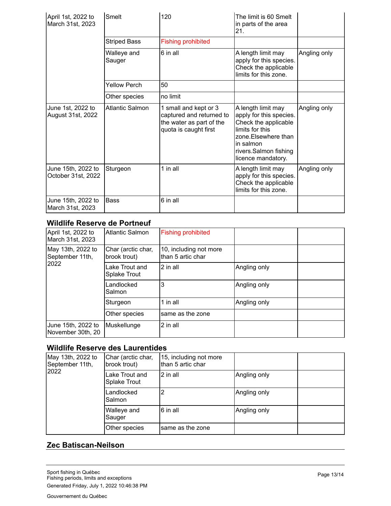| April 1st, 2022 to<br>March 31st, 2023   | Smelt                  | 120                                                                                                    | The limit is 60 Smelt<br>in parts of the area<br>21.                                                                                                                         |              |
|------------------------------------------|------------------------|--------------------------------------------------------------------------------------------------------|------------------------------------------------------------------------------------------------------------------------------------------------------------------------------|--------------|
|                                          | <b>Striped Bass</b>    | <b>Fishing prohibited</b>                                                                              |                                                                                                                                                                              |              |
|                                          | Walleye and<br>Sauger  | 6 in all                                                                                               | A length limit may<br>apply for this species.<br>Check the applicable<br>limits for this zone.                                                                               | Angling only |
|                                          | <b>Yellow Perch</b>    | 50                                                                                                     |                                                                                                                                                                              |              |
|                                          | Other species          | no limit                                                                                               |                                                                                                                                                                              |              |
| June 1st, 2022 to<br>August 31st, 2022   | <b>Atlantic Salmon</b> | 1 small and kept or 3<br>captured and returned to<br>the water as part of the<br>quota is caught first | A length limit may<br>apply for this species.<br>Check the applicable<br>limits for this<br>zone. Elsewhere than<br>in salmon<br>rivers.Salmon fishing<br>licence mandatory. | Angling only |
| June 15th, 2022 to<br>October 31st, 2022 | Sturgeon               | 1 in all                                                                                               | A length limit may<br>apply for this species.<br>Check the applicable<br>limits for this zone.                                                                               | Angling only |
| June 15th, 2022 to<br>March 31st, 2023   | <b>Bass</b>            | 6 in all                                                                                               |                                                                                                                                                                              |              |

## **Wildlife Reserve de Portneuf**

| April 1st, 2022 to<br>March 31st, 2023  | Atlantic Salmon                       | <b>Fishing prohibited</b>                   |              |  |
|-----------------------------------------|---------------------------------------|---------------------------------------------|--------------|--|
| May 13th, 2022 to<br>September 11th,    | Char (arctic char,<br>brook trout)    | 10, including not more<br>than 5 artic char |              |  |
| 2022                                    | Lake Trout and<br><b>Splake Trout</b> | 2 in all                                    | Angling only |  |
|                                         | Landlocked<br>Salmon                  | 3                                           | Angling only |  |
|                                         | Sturgeon                              | 1 in all                                    | Angling only |  |
|                                         | Other species                         | same as the zone                            |              |  |
| June 15th, 2022 to<br>November 30th, 20 | Muskellunge                           | 2 in all                                    |              |  |

## **Wildlife Reserve des Laurentides**

| May 13th, 2022 to<br>September 11th,<br>2022 | Char (arctic char,<br>brook trout) | 15, including not more<br>than 5 artic char |              |  |
|----------------------------------------------|------------------------------------|---------------------------------------------|--------------|--|
|                                              | Lake Trout and<br>Splake Trout     | 2 in all                                    | Angling only |  |
|                                              | Landlocked<br>Salmon               | 2                                           | Angling only |  |
|                                              | Walleye and<br>Sauger              | 6 in all                                    | Angling only |  |
|                                              | Other species                      | same as the zone                            |              |  |

## **Zec Batiscan-Neilson**